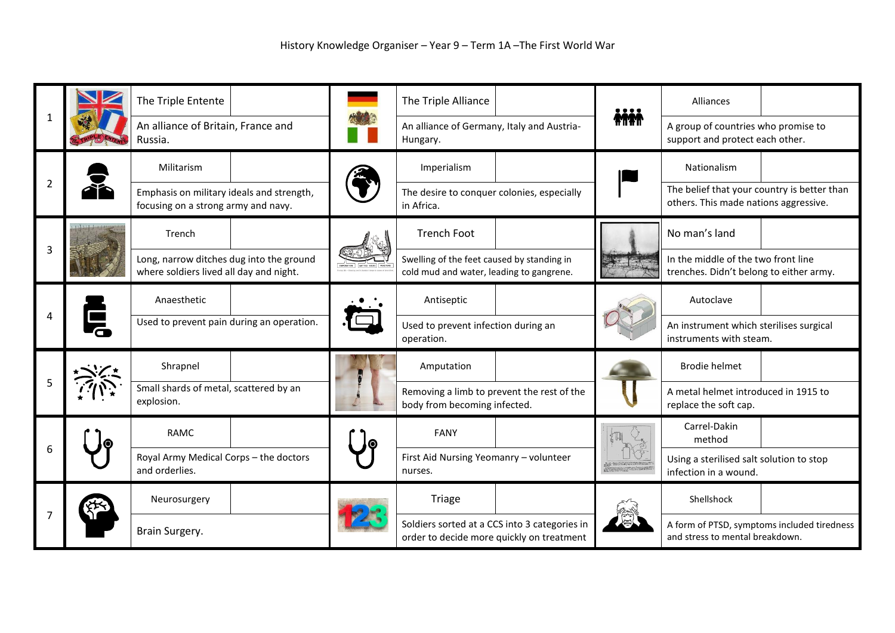|                |  | The Triple Entente                                                                  |    | The Triple Alliance                                                                        |  | <br><b>ANAW</b>                    | Alliances                                                                            |  |
|----------------|--|-------------------------------------------------------------------------------------|----|--------------------------------------------------------------------------------------------|--|------------------------------------|--------------------------------------------------------------------------------------|--|
|                |  | An alliance of Britain, France and<br>Russia.                                       |    | An alliance of Germany, Italy and Austria-<br>Hungary.                                     |  |                                    | A group of countries who promise to<br>support and protect each other.               |  |
| $\overline{2}$ |  | Militarism                                                                          |    | Imperialism                                                                                |  |                                    | Nationalism                                                                          |  |
|                |  | Emphasis on military ideals and strength,<br>focusing on a strong army and navy.    |    | The desire to conquer colonies, especially<br>in Africa.                                   |  |                                    | The belief that your country is better than<br>others. This made nations aggressive. |  |
|                |  | Trench                                                                              |    | <b>Trench Foot</b>                                                                         |  |                                    | No man's land                                                                        |  |
|                |  | Long, narrow ditches dug into the ground<br>where soldiers lived all day and night. |    | Swelling of the feet caused by standing in<br>cold mud and water, leading to gangrene.     |  |                                    | In the middle of the two front line<br>trenches. Didn't belong to either army.       |  |
|                |  | Anaesthetic                                                                         |    | Antiseptic                                                                                 |  |                                    | Autoclave                                                                            |  |
|                |  | Used to prevent pain during an operation.                                           |    | Used to prevent infection during an<br>operation.                                          |  |                                    | An instrument which sterilises surgical<br>instruments with steam.                   |  |
|                |  | Shrapnel                                                                            |    | Amputation                                                                                 |  |                                    | <b>Brodie helmet</b>                                                                 |  |
|                |  | Small shards of metal, scattered by an<br>explosion.                                |    | Removing a limb to prevent the rest of the<br>body from becoming infected.                 |  |                                    | A metal helmet introduced in 1915 to<br>replace the soft cap.                        |  |
| 6              |  | <b>RAMC</b>                                                                         | 1© | <b>FANY</b>                                                                                |  | TI.                                | Carrel-Dakin<br>method                                                               |  |
|                |  | Royal Army Medical Corps - the doctors<br>and orderlies.                            |    | First Aid Nursing Yeomanry - volunteer<br>nurses.                                          |  | The problem and contact the result | Using a sterilised salt solution to stop<br>infection in a wound.                    |  |
|                |  | Neurosurgery                                                                        |    | <b>Triage</b>                                                                              |  |                                    | Shellshock                                                                           |  |
|                |  | Brain Surgery.                                                                      |    | Soldiers sorted at a CCS into 3 categories in<br>order to decide more quickly on treatment |  |                                    | A form of PTSD, symptoms included tiredness<br>and stress to mental breakdown.       |  |